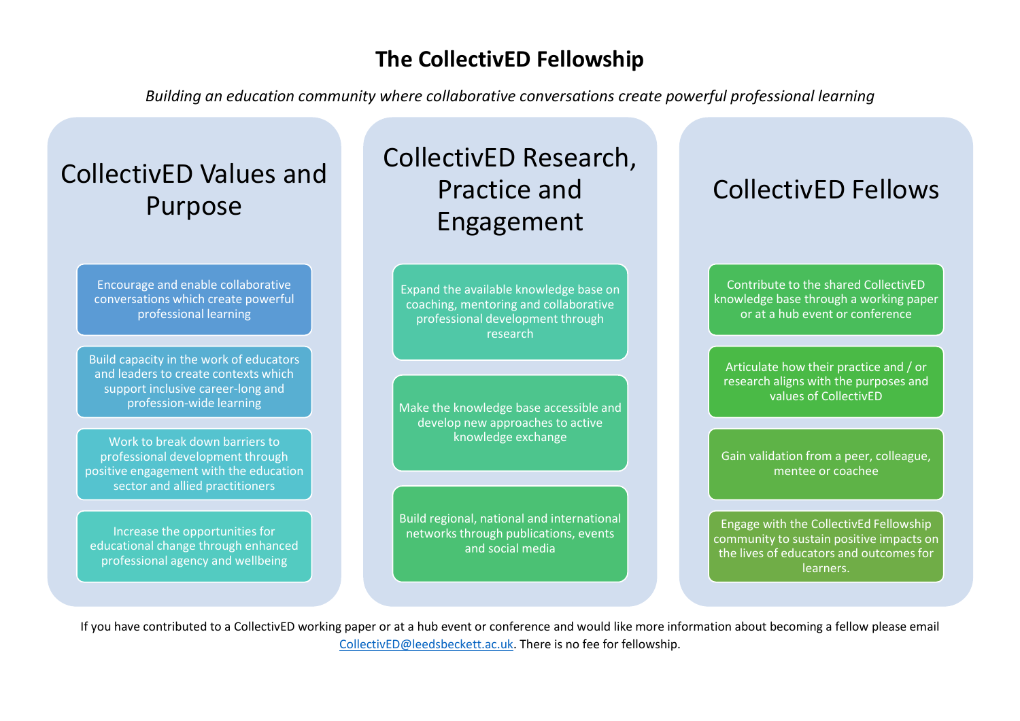### **The CollectivED Fellowship**

*Building an education community where collaborative conversations create powerful professional learning*

# CollectivED Values and Purpose

Encourage and enable collaborative conversations which create powerful professional learning

Build capacity in the work of educators and leaders to create contexts which support inclusive career-long and profession-wide learning

Work to break down barriers to professional development through positive engagement with the education sector and allied practitioners

Increase the opportunities for educational change through enhanced professional agency and wellbeing

# CollectivED Research, Practice and Engagement

Expand the available knowledge base on coaching, mentoring and collaborative professional development through research

Make the knowledge base accessible and develop new approaches to active knowledge exchange

Build regional, national and international networks through publications, events and social media

## CollectivED Fellows

Contribute to the shared CollectivED knowledge base through a working paper or at a hub event or conference

Articulate how their practice and / or research aligns with the purposes and values of CollectivED

Gain validation from a peer, colleague, mentee or coachee

Engage with the CollectivEd Fellowship community to sustain positive impacts on the lives of educators and outcomes for learners.

If you have contributed to a CollectivED working paper or at a hub event or conference and would like more information about becoming a fellow please email [CollectivED@leedsbeckett.ac.uk.](mailto:CollectivED@leedsbeckett.ac.uk) There is no fee for fellowship.